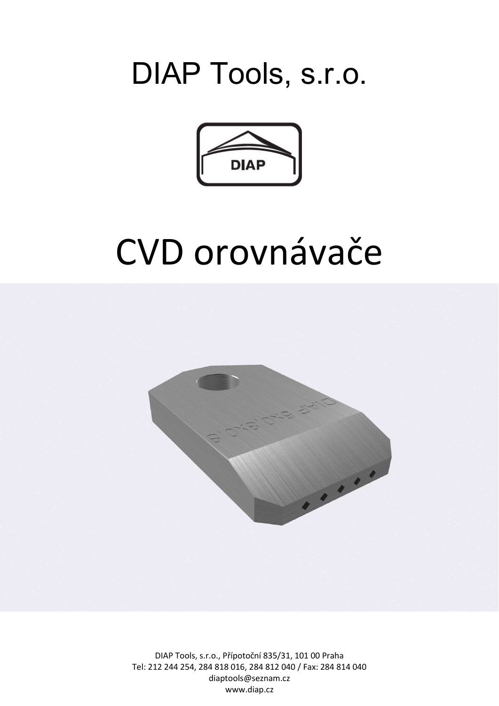## DIAP Tools, s.r.o.



## CVD orovnávače



DIAP Tools, s.r.o., Přípotoční 835/31, 101 00 Praha Tel: 212 244 254, 284 818 016, 284 812 040 / Fax: 284 814 040 diaptools@seznam.cz www.diap.cz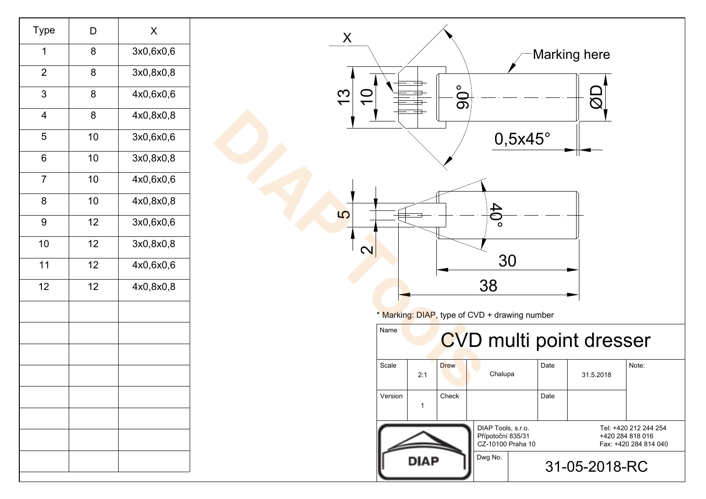| Type           | D  | Χ         |
|----------------|----|-----------|
| 1              | 8  | 3x0,6x0,6 |
| $\overline{2}$ | 8  | 3x0,8x0,8 |
| 3              | 8  | 4x0,6x0,6 |
| 4              | 8  | 4x0,8x0,8 |
| 5              | 10 | 3x0,6x0,6 |
| 6              | 10 | 3x0,8x0,8 |
| $\overline{7}$ | 10 | 4x0,6x0,6 |
| 8              | 10 | 4x0,8x0,8 |
| 9              | 12 | 3x0,6x0,6 |
| 10             | 12 | 3x0,8x0,8 |
| 11             | 12 | 4x0,6x0,6 |
| 12             | 12 | 4x0,8x0,8 |
|                |    |           |
|                |    |           |
|                |    |           |
|                |    |           |
|                |    |           |
|                |    |           |
|                |    |           |
|                |    |           |
|                |    |           |

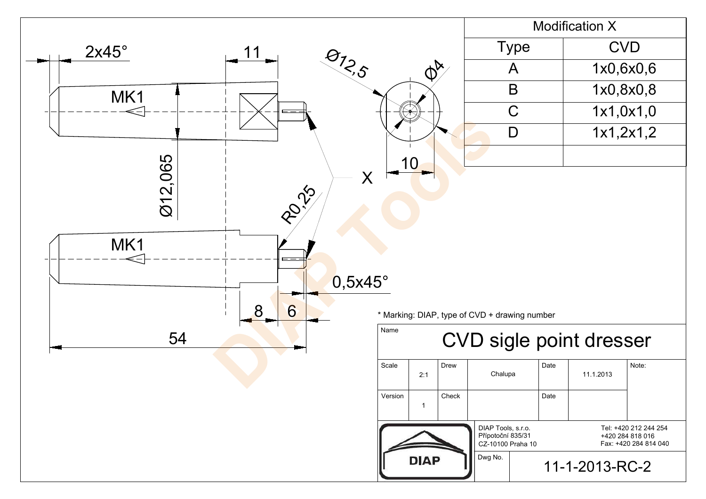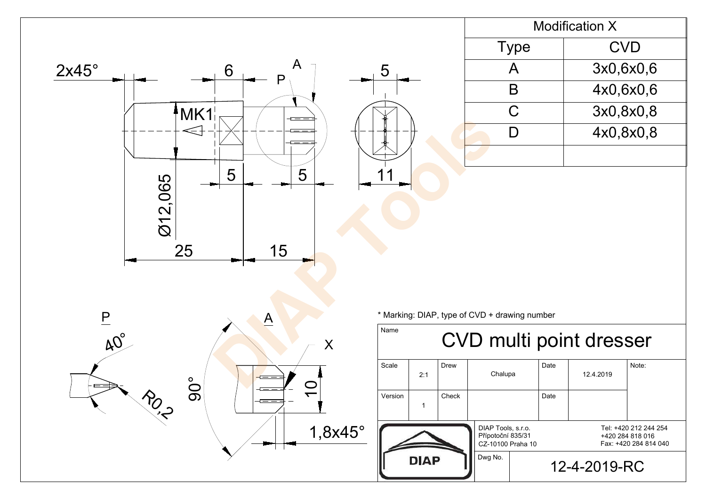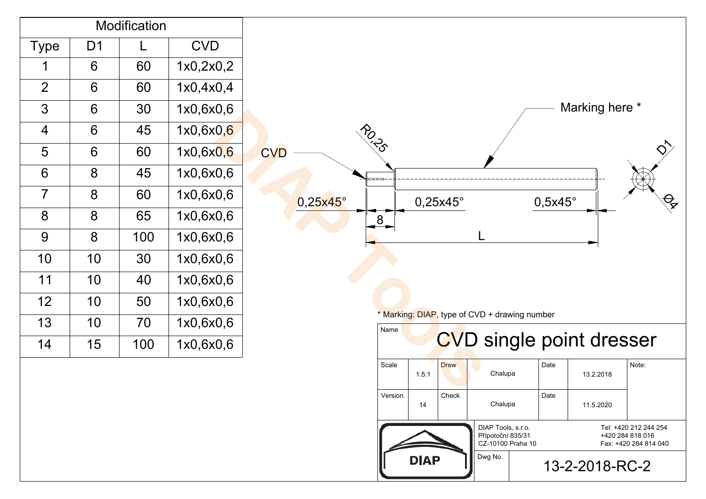| Modification   |    |     |             |  |  |
|----------------|----|-----|-------------|--|--|
| Type           | D1 |     | <b>CVD</b>  |  |  |
| 1              | 6  | 60  | 1x0,2x0,2   |  |  |
| $\overline{2}$ | 6  | 60  | 1x0, 4x0, 4 |  |  |
| 3              | 6  | 30  | 1x0,6x0,6   |  |  |
| 4              | 6  | 45  | 1x0,6x0,6   |  |  |
| 5              | 6  | 60  | 1x0,6x0,6   |  |  |
| 6              | 8  | 45  | 1x0,6x0,6   |  |  |
| 7              | 8  | 60  | 1x0,6x0,6   |  |  |
| 8              | 8  | 65  | 1x0,6x0,6   |  |  |
| 9              | 8  | 100 | 1x0,6x0,6   |  |  |
| 10             | 10 | 30  | 1x0,6x0,6   |  |  |
| 11             | 10 | 40  | 1x0,6x0,6   |  |  |
| 12             | 10 | 50  | 1x0,6x0,6   |  |  |
| 13             | 10 | 70  | 1x0,6x0,6   |  |  |
| 14             | 15 | 100 | 1x0,6x0,6   |  |  |
|                |    |     |             |  |  |

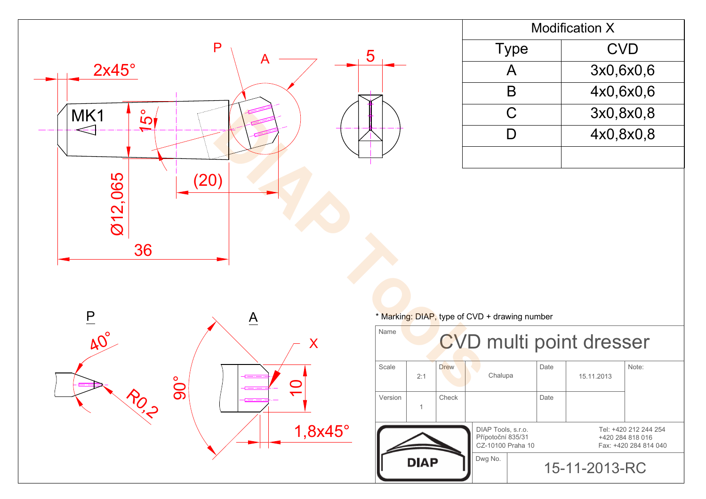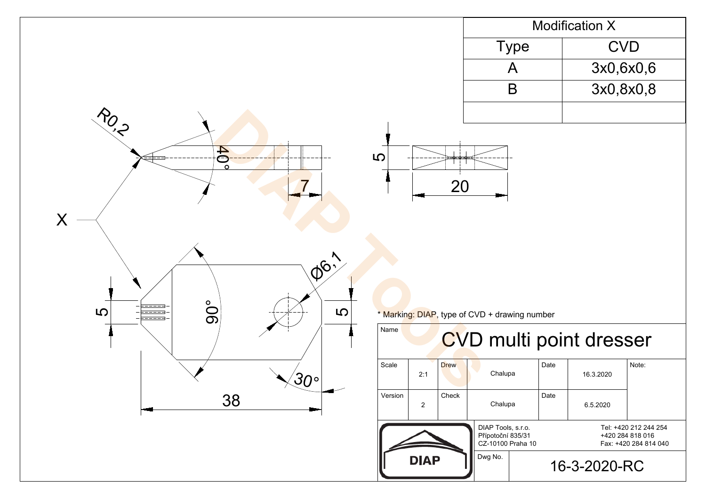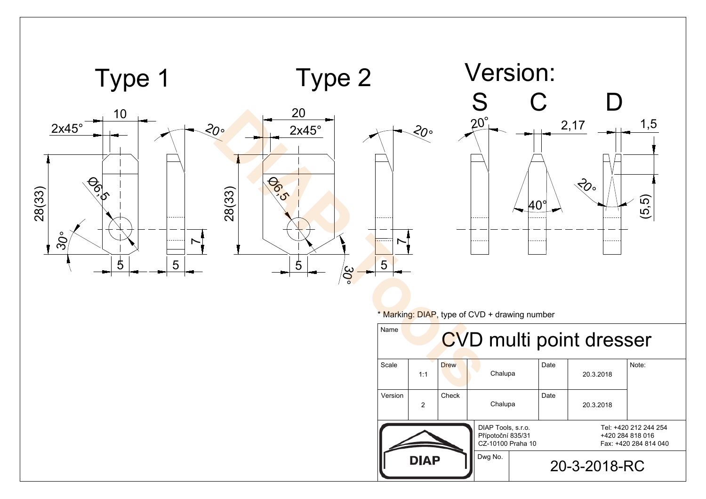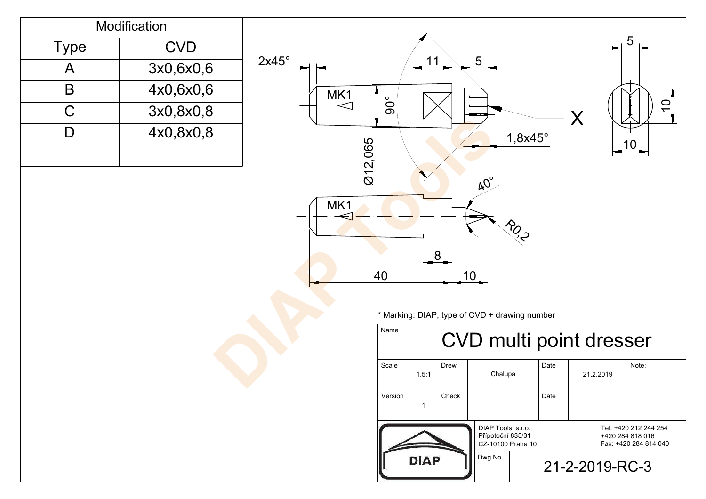|                                                                                                           | Modification |              |                                                                                                                                    |  |  |  |
|-----------------------------------------------------------------------------------------------------------|--------------|--------------|------------------------------------------------------------------------------------------------------------------------------------|--|--|--|
| <b>Type</b>                                                                                               | <b>CVD</b>   |              | 5                                                                                                                                  |  |  |  |
| $\mathsf{A}$                                                                                              | 3x0,6x0,6    | $2x45^\circ$ | $5\overline{)}$<br>11                                                                                                              |  |  |  |
| $\mathsf B$                                                                                               | 4x0,6x0,6    | MK1          | =                                                                                                                                  |  |  |  |
| $\mathsf C$                                                                                               | 3x0,8x0,8    |              | ခင်္<br>$\overline{C}$<br>$\sf X$                                                                                                  |  |  |  |
| $\begin{array}{c}\n\end{array}$                                                                           | 4x0,8x0,8    |              | $1,8x45^\circ$<br>012,065<br>$\frac{10}{1}$                                                                                        |  |  |  |
| AC<br>MK1<br><b>POLICE</b><br>8<br>40<br>10 <sub>1</sub><br>* Marking: DIAP, type of CVD + drawing number |              |              |                                                                                                                                    |  |  |  |
|                                                                                                           |              |              | Name<br>CVD multi point dresser                                                                                                    |  |  |  |
|                                                                                                           |              |              | Scale<br>Drew<br>Date<br>Note:<br>Chalupa<br>21.2.2019<br>1.5:1                                                                    |  |  |  |
|                                                                                                           |              |              | Version<br>Check<br>Date<br>$\mathbf{1}$                                                                                           |  |  |  |
|                                                                                                           |              |              | DIAP Tools, s.r.o.<br>Tel: +420 212 244 254<br>Přípotoční 835/31<br>+420 284 818 016<br>CZ-10100 Praha 10<br>Fax: +420 284 814 040 |  |  |  |
|                                                                                                           |              |              | Dwg No.<br><b>DIAP</b><br>21-2-2019-RC-3                                                                                           |  |  |  |